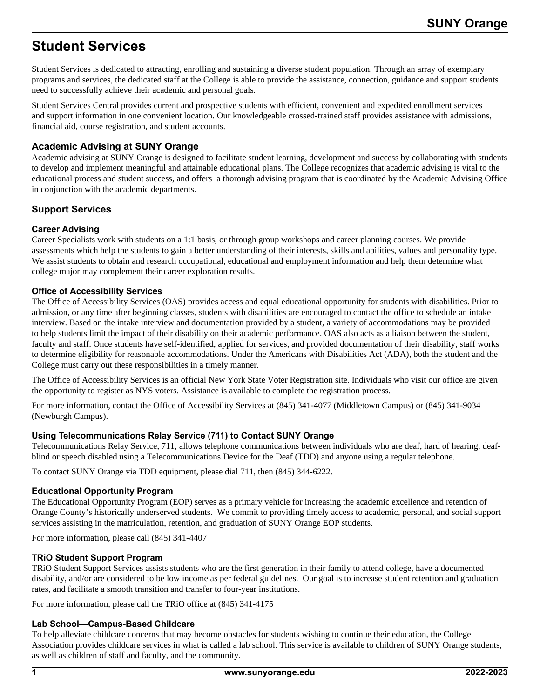# **Student Services**

Student Services is dedicated to attracting, enrolling and sustaining a diverse student population. Through an array of exemplary programs and services, the dedicated staff at the College is able to provide the assistance, connection, guidance and support students need to successfully achieve their academic and personal goals.

Student Services Central provides current and prospective students with efficient, convenient and expedited enrollment services and support information in one convenient location. Our knowledgeable crossed-trained staff provides assistance with admissions, financial aid, course registration, and student accounts.

# **Academic Advising at SUNY Orange**

Academic advising at SUNY Orange is designed to facilitate student learning, development and success by collaborating with students to develop and implement meaningful and attainable educational plans. The College recognizes that academic advising is vital to the educational process and student success, and offers a thorough advising program that is coordinated by the Academic Advising Office in conjunction with the academic departments.

# **Support Services**

# **Career Advising**

Career Specialists work with students on a 1:1 basis, or through group workshops and career planning courses. We provide assessments which help the students to gain a better understanding of their interests, skills and abilities, values and personality type. We assist students to obtain and research occupational, educational and employment information and help them determine what college major may complement their career exploration results.

# **Office of Accessibility Services**

The Office of Accessibility Services (OAS) provides access and equal educational opportunity for students with disabilities. Prior to admission, or any time after beginning classes, students with disabilities are encouraged to contact the office to schedule an intake interview. Based on the intake interview and documentation provided by a student, a variety of accommodations may be provided to help students limit the impact of their disability on their academic performance. OAS also acts as a liaison between the student, faculty and staff. Once students have self-identified, applied for services, and provided documentation of their disability, staff works to determine eligibility for reasonable accommodations. Under the Americans with Disabilities Act (ADA), both the student and the College must carry out these responsibilities in a timely manner.

The Office of Accessibility Services is an official New York State Voter Registration site. Individuals who visit our office are given the opportunity to register as NYS voters. Assistance is available to complete the registration process.

For more information, contact the Office of Accessibility Services at (845) 341-4077 (Middletown Campus) or (845) 341-9034 (Newburgh Campus).

# **Using Telecommunications Relay Service (711) to Contact SUNY Orange**

Telecommunications Relay Service, 711, allows telephone communications between individuals who are deaf, hard of hearing, deafblind or speech disabled using a Telecommunications Device for the Deaf (TDD) and anyone using a regular telephone.

To contact SUNY Orange via TDD equipment, please dial 711, then (845) 344-6222.

# **Educational Opportunity Program**

The Educational Opportunity Program (EOP) serves as a primary vehicle for increasing the academic excellence and retention of Orange County's historically underserved students. We commit to providing timely access to academic, personal, and social support services assisting in the matriculation, retention, and graduation of SUNY Orange EOP students.

For more information, please call (845) 341-4407

# **TRiO Student Support Program**

TRiO Student Support Services assists students who are the first generation in their family to attend college, have a documented disability, and/or are considered to be low income as per federal guidelines. Our goal is to increase student retention and graduation rates, and facilitate a smooth transition and transfer to four-year institutions.

For more information, please call the TRiO office at (845) 341-4175

# **Lab School—Campus-Based Childcare**

To help alleviate childcare concerns that may become obstacles for students wishing to continue their education, the College Association provides childcare services in what is called a lab school. This service is available to children of SUNY Orange students, as well as children of staff and faculty, and the community.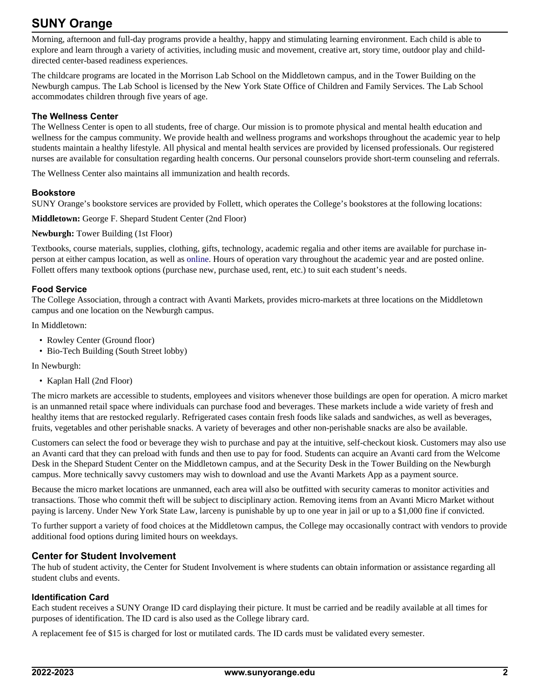# **SUNY Orange**

Morning, afternoon and full-day programs provide a healthy, happy and stimulating learning environment. Each child is able to explore and learn through a variety of activities, including music and movement, creative art, story time, outdoor play and childdirected center-based readiness experiences.

The childcare programs are located in the Morrison Lab School on the Middletown campus, and in the Tower Building on the Newburgh campus. The Lab School is licensed by the New York State Office of Children and Family Services. The Lab School accommodates children through five years of age.

#### **The Wellness Center**

The Wellness Center is open to all students, free of charge. Our mission is to promote physical and mental health education and wellness for the campus community. We provide health and wellness programs and workshops throughout the academic year to help students maintain a healthy lifestyle. All physical and mental health services are provided by licensed professionals. Our registered nurses are available for consultation regarding health concerns. Our personal counselors provide short-term counseling and referrals.

The Wellness Center also maintains all immunization and health records.

#### **Bookstore**

SUNY Orange's bookstore services are provided by Follett, which operates the College's bookstores at the following locations:

**Middletown:** George F. Shepard Student Center (2nd Floor)

#### **Newburgh:** Tower Building (1st Floor)

Textbooks, course materials, supplies, clothing, gifts, technology, academic regalia and other items are available for purchase inperson at either campus location, as well as [online.](http://www.sunyorangebookstores.com) Hours of operation vary throughout the academic year and are posted online. Follett offers many textbook options (purchase new, purchase used, rent, etc.) to suit each student's needs.

#### **Food Service**

The College Association, through a contract with Avanti Markets, provides micro-markets at three locations on the Middletown campus and one location on the Newburgh campus.

In Middletown:

- Rowley Center (Ground floor)
- Bio-Tech Building (South Street lobby)

In Newburgh:

• Kaplan Hall (2nd Floor)

The micro markets are accessible to students, employees and visitors whenever those buildings are open for operation. A micro market is an unmanned retail space where individuals can purchase food and beverages. These markets include a wide variety of fresh and healthy items that are restocked regularly. Refrigerated cases contain fresh foods like salads and sandwiches, as well as beverages, fruits, vegetables and other perishable snacks. A variety of beverages and other non-perishable snacks are also be available.

Customers can select the food or beverage they wish to purchase and pay at the intuitive, self-checkout kiosk. Customers may also use an Avanti card that they can preload with funds and then use to pay for food. Students can acquire an Avanti card from the Welcome Desk in the Shepard Student Center on the Middletown campus, and at the Security Desk in the Tower Building on the Newburgh campus. More technically savvy customers may wish to download and use the Avanti Markets App as a payment source.

Because the micro market locations are unmanned, each area will also be outfitted with security cameras to monitor activities and transactions. Those who commit theft will be subject to disciplinary action. Removing items from an Avanti Micro Market without paying is larceny. Under New York State Law, larceny is punishable by up to one year in jail or up to a \$1,000 fine if convicted.

To further support a variety of food choices at the Middletown campus, the College may occasionally contract with vendors to provide additional food options during limited hours on weekdays.

# **Center for Student Involvement**

The hub of student activity, the Center for Student Involvement is where students can obtain information or assistance regarding all student clubs and events.

#### **Identification Card**

Each student receives a SUNY Orange ID card displaying their picture. It must be carried and be readily available at all times for purposes of identification. The ID card is also used as the College library card.

A replacement fee of \$15 is charged for lost or mutilated cards. The ID cards must be validated every semester.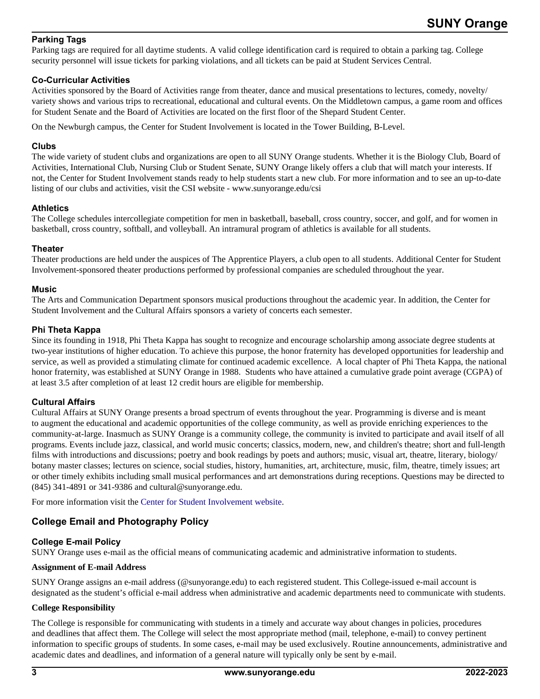# **Parking Tags**

Parking tags are required for all daytime students. A valid college identification card is required to obtain a parking tag. College security personnel will issue tickets for parking violations, and all tickets can be paid at Student Services Central.

#### **Co-Curricular Activities**

Activities sponsored by the Board of Activities range from theater, dance and musical presentations to lectures, comedy, novelty/ variety shows and various trips to recreational, educational and cultural events. On the Middletown campus, a game room and offices for Student Senate and the Board of Activities are located on the first floor of the Shepard Student Center.

On the Newburgh campus, the Center for Student Involvement is located in the Tower Building, B-Level.

### **Clubs**

The wide variety of student clubs and organizations are open to all SUNY Orange students. Whether it is the Biology Club, Board of Activities, International Club, Nursing Club or Student Senate, SUNY Orange likely offers a club that will match your interests. If not, the Center for Student Involvement stands ready to help students start a new club. For more information and to see an up-to-date listing of our clubs and activities, visit the CSI website - www.sunyorange.edu/csi

#### **Athletics**

The College schedules intercollegiate competition for men in basketball, baseball, cross country, soccer, and golf, and for women in basketball, cross country, softball, and volleyball. An intramural program of athletics is available for all students.

#### **Theater**

Theater productions are held under the auspices of The Apprentice Players, a club open to all students. Additional Center for Student Involvement-sponsored theater productions performed by professional companies are scheduled throughout the year.

#### **Music**

The Arts and Communication Department sponsors musical productions throughout the academic year. In addition, the Center for Student Involvement and the Cultural Affairs sponsors a variety of concerts each semester.

# **Phi Theta Kappa**

Since its founding in 1918, Phi Theta Kappa has sought to recognize and encourage scholarship among associate degree students at two-year institutions of higher education. To achieve this purpose, the honor fraternity has developed opportunities for leadership and service, as well as provided a stimulating climate for continued academic excellence. A local chapter of Phi Theta Kappa, the national honor fraternity, was established at SUNY Orange in 1988. Students who have attained a cumulative grade point average (CGPA) of at least 3.5 after completion of at least 12 credit hours are eligible for membership.

# **Cultural Affairs**

Cultural Affairs at SUNY Orange presents a broad spectrum of events throughout the year. Programming is diverse and is meant to augment the educational and academic opportunities of the college community, as well as provide enriching experiences to the community-at-large. Inasmuch as SUNY Orange is a community college, the community is invited to participate and avail itself of all programs. Events include jazz, classical, and world music concerts; classics, modern, new, and children's theatre; short and full-length films with introductions and discussions; poetry and book readings by poets and authors; music, visual art, theatre, literary, biology/ botany master classes; lectures on science, social studies, history, humanities, art, architecture, music, film, theatre, timely issues; art or other timely exhibits including small musical performances and art demonstrations during receptions. Questions may be directed to (845) 341-4891 or 341-9386 and cultural@sunyorange.edu.

For more information visit the [Center for Student Involvement website.](https://sunyorange.edu/csi/index.html)

# **College Email and Photography Policy**

# **College E-mail Policy**

SUNY Orange uses e-mail as the official means of communicating academic and administrative information to students.

#### **Assignment of E-mail Address**

SUNY Orange assigns an e-mail address (@sunyorange.edu) to each registered student. This College-issued e-mail account is designated as the student's official e-mail address when administrative and academic departments need to communicate with students.

#### **College Responsibility**

The College is responsible for communicating with students in a timely and accurate way about changes in policies, procedures and deadlines that affect them. The College will select the most appropriate method (mail, telephone, e-mail) to convey pertinent information to specific groups of students. In some cases, e-mail may be used exclusively. Routine announcements, administrative and academic dates and deadlines, and information of a general nature will typically only be sent by e-mail.